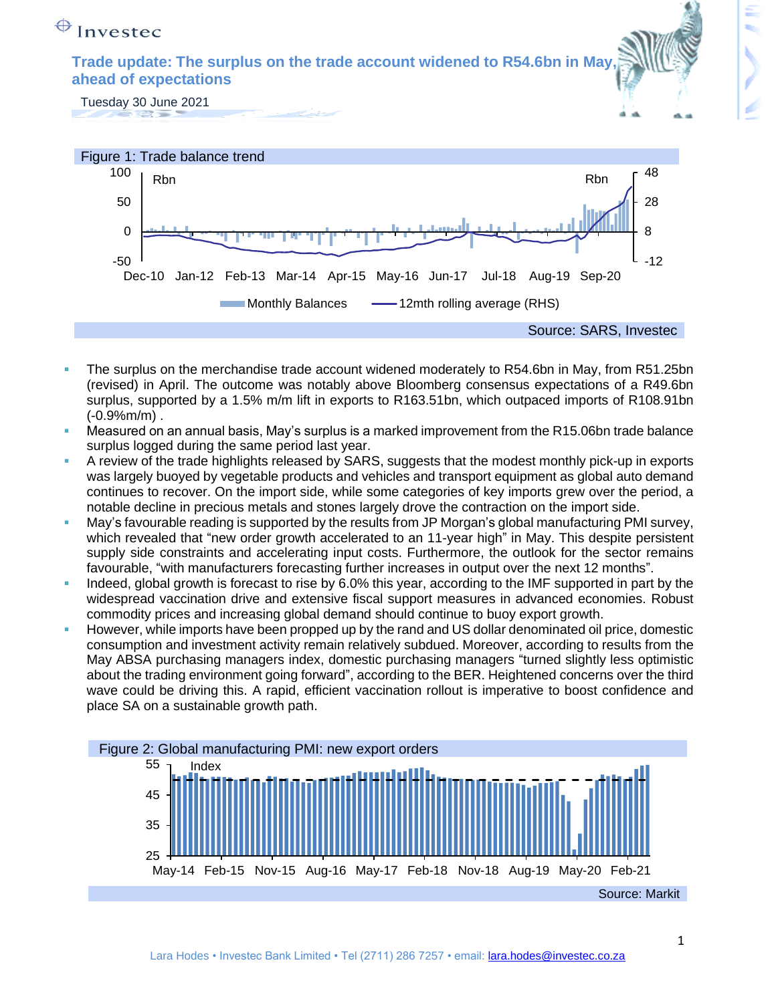# $\bigoplus$  Investec

**Trade update: The surplus on the trade account widened to R54.6bn in May, ahead of expectations**

Tuesday 30 June 2021



- The surplus on the merchandise trade account widened moderately to R54.6bn in May, from R51.25bn (revised) in April. The outcome was notably above Bloomberg consensus expectations of a R49.6bn surplus, supported by a 1.5% m/m lift in exports to R163.51bn, which outpaced imports of R108.91bn  $(-0.9%m/m)$ .
- Measured on an annual basis, May's surplus is a marked improvement from the R15.06bn trade balance surplus logged during the same period last year.
- A review of the trade highlights released by SARS, suggests that the modest monthly pick-up in exports was largely buoyed by vegetable products and vehicles and transport equipment as global auto demand continues to recover. On the import side, while some categories of key imports grew over the period, a notable decline in precious metals and stones largely drove the contraction on the import side.
- May's favourable reading is supported by the results from JP Morgan's global manufacturing PMI survey, which revealed that "new order growth accelerated to an 11-year high" in May. This despite persistent supply side constraints and accelerating input costs. Furthermore, the outlook for the sector remains favourable, "with manufacturers forecasting further increases in output over the next 12 months".
- Indeed, global growth is forecast to rise by 6.0% this year, according to the IMF supported in part by the widespread vaccination drive and extensive fiscal support measures in advanced economies. Robust commodity prices and increasing global demand should continue to buoy export growth.
- However, while imports have been propped up by the rand and US dollar denominated oil price, domestic consumption and investment activity remain relatively subdued. Moreover, according to results from the May ABSA purchasing managers index, domestic purchasing managers "turned slightly less optimistic about the trading environment going forward", according to the BER. Heightened concerns over the third wave could be driving this. A rapid, efficient vaccination rollout is imperative to boost confidence and place SA on a sustainable growth path.

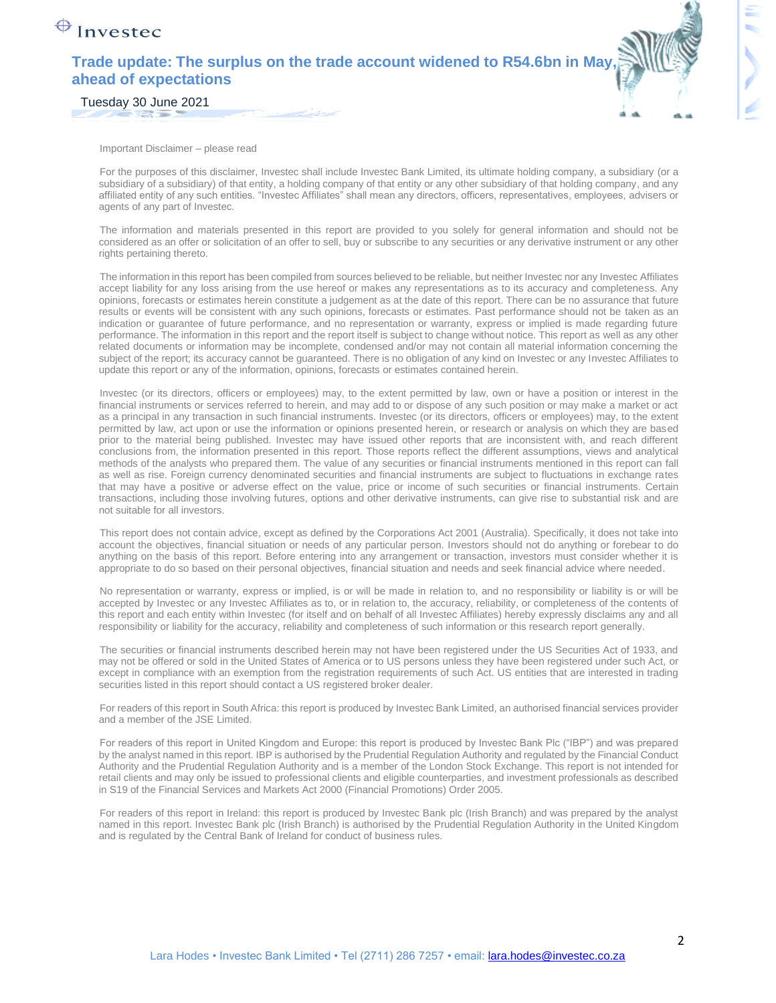### $\bigoplus$  Investec

### **Trade update: The surplus on the trade account widened to R54.6bn in May, ahead of expectations**



Tuesday 30 June 2021

Important Disclaimer – please read

For the purposes of this disclaimer, Investec shall include Investec Bank Limited, its ultimate holding company, a subsidiary (or a subsidiary of a subsidiary) of that entity, a holding company of that entity or any other subsidiary of that holding company, and any affiliated entity of any such entities. "Investec Affiliates" shall mean any directors, officers, representatives, employees, advisers or agents of any part of Investec.

The information and materials presented in this report are provided to you solely for general information and should not be considered as an offer or solicitation of an offer to sell, buy or subscribe to any securities or any derivative instrument or any other rights pertaining thereto.

The information in this report has been compiled from sources believed to be reliable, but neither Investec nor any Investec Affiliates accept liability for any loss arising from the use hereof or makes any representations as to its accuracy and completeness. Any opinions, forecasts or estimates herein constitute a judgement as at the date of this report. There can be no assurance that future results or events will be consistent with any such opinions, forecasts or estimates. Past performance should not be taken as an indication or guarantee of future performance, and no representation or warranty, express or implied is made regarding future performance. The information in this report and the report itself is subject to change without notice. This report as well as any other related documents or information may be incomplete, condensed and/or may not contain all material information concerning the subject of the report; its accuracy cannot be guaranteed. There is no obligation of any kind on Investec or any Investec Affiliates to update this report or any of the information, opinions, forecasts or estimates contained herein.

Investec (or its directors, officers or employees) may, to the extent permitted by law, own or have a position or interest in the financial instruments or services referred to herein, and may add to or dispose of any such position or may make a market or act as a principal in any transaction in such financial instruments. Investec (or its directors, officers or employees) may, to the extent permitted by law, act upon or use the information or opinions presented herein, or research or analysis on which they are based prior to the material being published. Investec may have issued other reports that are inconsistent with, and reach different conclusions from, the information presented in this report. Those reports reflect the different assumptions, views and analytical methods of the analysts who prepared them. The value of any securities or financial instruments mentioned in this report can fall as well as rise. Foreign currency denominated securities and financial instruments are subject to fluctuations in exchange rates that may have a positive or adverse effect on the value, price or income of such securities or financial instruments. Certain transactions, including those involving futures, options and other derivative instruments, can give rise to substantial risk and are not suitable for all investors.

This report does not contain advice, except as defined by the Corporations Act 2001 (Australia). Specifically, it does not take into account the objectives, financial situation or needs of any particular person. Investors should not do anything or forebear to do anything on the basis of this report. Before entering into any arrangement or transaction, investors must consider whether it is appropriate to do so based on their personal objectives, financial situation and needs and seek financial advice where needed.

No representation or warranty, express or implied, is or will be made in relation to, and no responsibility or liability is or will be accepted by Investec or any Investec Affiliates as to, or in relation to, the accuracy, reliability, or completeness of the contents of this report and each entity within Investec (for itself and on behalf of all Investec Affiliates) hereby expressly disclaims any and all responsibility or liability for the accuracy, reliability and completeness of such information or this research report generally.

The securities or financial instruments described herein may not have been registered under the US Securities Act of 1933, and may not be offered or sold in the United States of America or to US persons unless they have been registered under such Act, or except in compliance with an exemption from the registration requirements of such Act. US entities that are interested in trading securities listed in this report should contact a US registered broker dealer.

For readers of this report in South Africa: this report is produced by Investec Bank Limited, an authorised financial services provider and a member of the JSE Limited.

For readers of this report in United Kingdom and Europe: this report is produced by Investec Bank Plc ("IBP") and was prepared by the analyst named in this report. IBP is authorised by the Prudential Regulation Authority and regulated by the Financial Conduct Authority and the Prudential Regulation Authority and is a member of the London Stock Exchange. This report is not intended for retail clients and may only be issued to professional clients and eligible counterparties, and investment professionals as described in S19 of the Financial Services and Markets Act 2000 (Financial Promotions) Order 2005.

For readers of this report in Ireland: this report is produced by Investec Bank plc (Irish Branch) and was prepared by the analyst named in this report. Investec Bank plc (Irish Branch) is authorised by the Prudential Regulation Authority in the United Kingdom and is regulated by the Central Bank of Ireland for conduct of business rules.